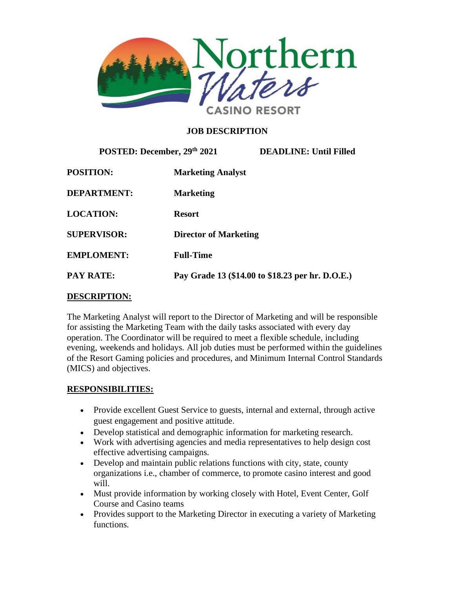

## **JOB DESCRIPTION**

| POSTED: December, 29th 2021 |                              | <b>DEADLINE: Until Filled</b>                    |
|-----------------------------|------------------------------|--------------------------------------------------|
| <b>POSITION:</b>            | <b>Marketing Analyst</b>     |                                                  |
| <b>DEPARTMENT:</b>          | <b>Marketing</b>             |                                                  |
| <b>LOCATION:</b>            | <b>Resort</b>                |                                                  |
| <b>SUPERVISOR:</b>          | <b>Director of Marketing</b> |                                                  |
| <b>EMPLOMENT:</b>           | <b>Full-Time</b>             |                                                  |
| <b>PAY RATE:</b>            |                              | Pay Grade 13 (\$14.00 to \$18.23 per hr. D.O.E.) |

### **DESCRIPTION:**

The Marketing Analyst will report to the Director of Marketing and will be responsible for assisting the Marketing Team with the daily tasks associated with every day operation. The Coordinator will be required to meet a flexible schedule, including evening, weekends and holidays. All job duties must be performed within the guidelines of the Resort Gaming policies and procedures, and Minimum Internal Control Standards (MICS) and objectives.

### **RESPONSIBILITIES:**

- Provide excellent Guest Service to guests, internal and external, through active guest engagement and positive attitude.
- Develop statistical and demographic information for marketing research.
- Work with advertising agencies and media representatives to help design cost effective advertising campaigns.
- Develop and maintain public relations functions with city, state, county organizations i.e., chamber of commerce, to promote casino interest and good will.
- Must provide information by working closely with Hotel, Event Center, Golf Course and Casino teams
- Provides support to the Marketing Director in executing a variety of Marketing functions.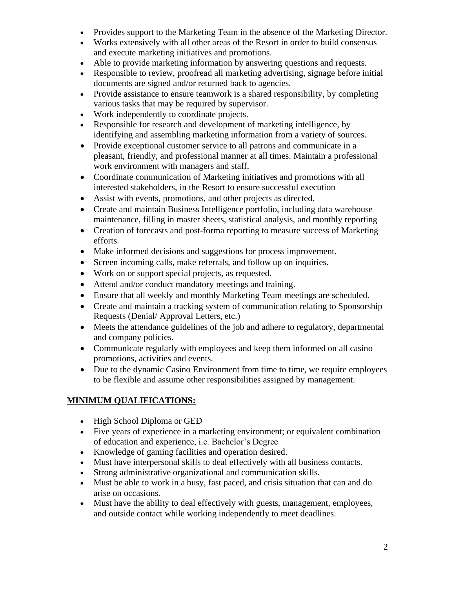- Provides support to the Marketing Team in the absence of the Marketing Director.
- Works extensively with all other areas of the Resort in order to build consensus and execute marketing initiatives and promotions.
- Able to provide marketing information by answering questions and requests.
- Responsible to review, proofread all marketing advertising, signage before initial documents are signed and/or returned back to agencies.
- Provide assistance to ensure teamwork is a shared responsibility, by completing various tasks that may be required by supervisor.
- Work independently to coordinate projects.
- Responsible for research and development of marketing intelligence, by identifying and assembling marketing information from a variety of sources.
- Provide exceptional customer service to all patrons and communicate in a pleasant, friendly, and professional manner at all times. Maintain a professional work environment with managers and staff.
- Coordinate communication of Marketing initiatives and promotions with all interested stakeholders, in the Resort to ensure successful execution
- Assist with events, promotions, and other projects as directed.
- Create and maintain Business Intelligence portfolio, including data warehouse maintenance, filling in master sheets, statistical analysis, and monthly reporting
- Creation of forecasts and post-forma reporting to measure success of Marketing efforts.
- Make informed decisions and suggestions for process improvement.
- Screen incoming calls, make referrals, and follow up on inquiries.
- Work on or support special projects, as requested.
- Attend and/or conduct mandatory meetings and training.
- Ensure that all weekly and monthly Marketing Team meetings are scheduled.
- Create and maintain a tracking system of communication relating to Sponsorship Requests (Denial/ Approval Letters, etc.)
- Meets the attendance guidelines of the job and adhere to regulatory, departmental and company policies.
- Communicate regularly with employees and keep them informed on all casino promotions, activities and events.
- Due to the dynamic Casino Environment from time to time, we require employees to be flexible and assume other responsibilities assigned by management.

### **MINIMUM QUALIFICATIONS:**

- High School Diploma or GED
- Five years of experience in a marketing environment; or equivalent combination of education and experience, i.e. Bachelor's Degree
- Knowledge of gaming facilities and operation desired.
- Must have interpersonal skills to deal effectively with all business contacts.
- Strong administrative organizational and communication skills.
- Must be able to work in a busy, fast paced, and crisis situation that can and do arise on occasions.
- Must have the ability to deal effectively with guests, management, employees, and outside contact while working independently to meet deadlines.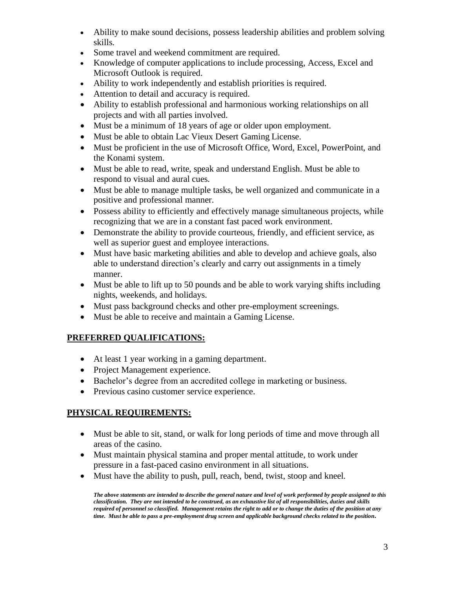- Ability to make sound decisions, possess leadership abilities and problem solving skills.
- Some travel and weekend commitment are required.
- Knowledge of computer applications to include processing, Access, Excel and Microsoft Outlook is required.
- Ability to work independently and establish priorities is required.
- Attention to detail and accuracy is required.
- Ability to establish professional and harmonious working relationships on all projects and with all parties involved.
- Must be a minimum of 18 years of age or older upon employment.
- Must be able to obtain Lac Vieux Desert Gaming License.
- Must be proficient in the use of Microsoft Office, Word, Excel, PowerPoint, and the Konami system.
- Must be able to read, write, speak and understand English. Must be able to respond to visual and aural cues.
- Must be able to manage multiple tasks, be well organized and communicate in a positive and professional manner.
- Possess ability to efficiently and effectively manage simultaneous projects, while recognizing that we are in a constant fast paced work environment.
- Demonstrate the ability to provide courteous, friendly, and efficient service, as well as superior guest and employee interactions.
- Must have basic marketing abilities and able to develop and achieve goals, also able to understand direction's clearly and carry out assignments in a timely manner.
- Must be able to lift up to 50 pounds and be able to work varying shifts including nights, weekends, and holidays.
- Must pass background checks and other pre-employment screenings.
- Must be able to receive and maintain a Gaming License.

# **PREFERRED QUALIFICATIONS:**

- At least 1 year working in a gaming department.
- Project Management experience.
- Bachelor's degree from an accredited college in marketing or business.
- Previous casino customer service experience.

# **PHYSICAL REQUIREMENTS:**

- Must be able to sit, stand, or walk for long periods of time and move through all areas of the casino.
- Must maintain physical stamina and proper mental attitude, to work under pressure in a fast-paced casino environment in all situations.
- Must have the ability to push, pull, reach, bend, twist, stoop and kneel.

*The above statements are intended to describe the general nature and level of work performed by people assigned to this classification. They are not intended to be construed, as an exhaustive list of all responsibilities, duties and skills required of personnel so classified. Management retains the right to add or to change the duties of the position at any time. Must be able to pass a pre-employment drug screen and applicable background checks related to the position.*